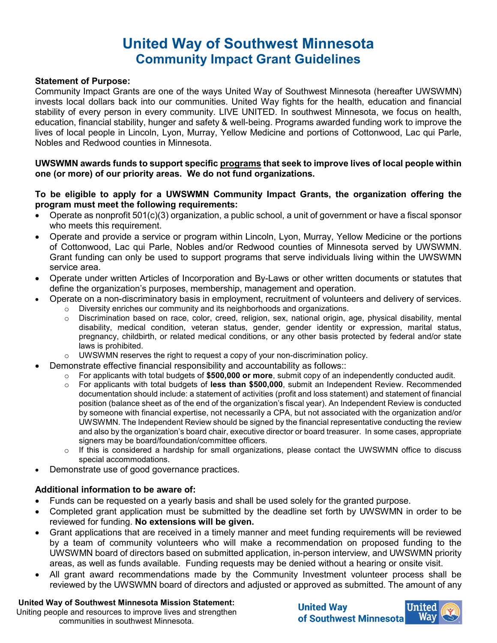# **United Way of Southwest Minnesota Community Impact Grant Guidelines**

#### **Statement of Purpose:**

Community Impact Grants are one of the ways United Way of Southwest Minnesota (hereafter UWSWMN) invests local dollars back into our communities. United Way fights for the health, education and financial stability of every person in every community. LIVE UNITED. In southwest Minnesota, we focus on health, education, financial stability, hunger and safety & well-being. Programs awarded funding work to improve the lives of local people in Lincoln, Lyon, Murray, Yellow Medicine and portions of Cottonwood, Lac qui Parle, Nobles and Redwood counties in Minnesota.

### **UWSWMN awards funds to support specific programs that seek to improve lives of local people within one (or more) of our priority areas. We do not fund organizations.**

### **To be eligible to apply for a UWSWMN Community Impact Grants, the organization offering the program must meet the following requirements:**

- Operate as nonprofit 501(c)(3) organization, a public school, a unit of government or have a fiscal sponsor who meets this requirement.
- Operate and provide a service or program within Lincoln, Lyon, Murray, Yellow Medicine or the portions of Cottonwood, Lac qui Parle, Nobles and/or Redwood counties of Minnesota served by UWSWMN. Grant funding can only be used to support programs that serve individuals living within the UWSWMN service area.
- Operate under written Articles of Incorporation and By-Laws or other written documents or statutes that define the organization's purposes, membership, management and operation.
- Operate on a non-discriminatory basis in employment, recruitment of volunteers and delivery of services.
	- $\circ$  Diversity enriches our community and its neighborhoods and organizations.<br>  $\circ$  Discrimination based on race, color, creed, religion, sex, national origin, a
	- Discrimination based on race, color, creed, religion, sex, national origin, age, physical disability, mental disability, medical condition, veteran status, gender, gender identity or expression, marital status, pregnancy, childbirth, or related medical conditions, or any other basis protected by federal and/or state laws is prohibited.
	- UWSWMN reserves the right to request a copy of your non-discrimination policy.
- Demonstrate effective financial responsibility and accountability as follows::
	- o For applicants with total budgets of **\$500,000 or more**, submit copy of an independently conducted audit.
	- For applicants with total budgets of less than \$500,000, submit an Independent Review. Recommended documentation should include: a statement of activities (profit and loss statement) and statement of financial position (balance sheet as of the end of the organization's fiscal year). An Independent Review is conducted by someone with financial expertise, not necessarily a CPA, but not associated with the organization and/or UWSWMN. The Independent Review should be signed by the financial representative conducting the review and also by the organization's board chair, executive director or board treasurer. In some cases, appropriate signers may be board/foundation/committee officers.
	- $\circ$  If this is considered a hardship for small organizations, please contact the UWSWMN office to discuss special accommodations.
- Demonstrate use of good governance practices.

# **Additional information to be aware of:**

- Funds can be requested on a yearly basis and shall be used solely for the granted purpose.
- Completed grant application must be submitted by the deadline set forth by UWSWMN in order to be reviewed for funding. **No extensions will be given.**
- Grant applications that are received in a timely manner and meet funding requirements will be reviewed by a team of community volunteers who will make a recommendation on proposed funding to the UWSWMN board of directors based on submitted application, in-person interview, and UWSWMN priority areas, as well as funds available. Funding requests may be denied without a hearing or onsite visit.
- All grant award recommendations made by the Community Investment volunteer process shall be reviewed by the UWSWMN board of directors and adjusted or approved as submitted. The amount of any

#### **United Way of Southwest Minnesota Mission Statement:**

Uniting people and resources to improve lives and strengthen communities in southwest Minnesota.

**United Way** of Southwest Minnesotal